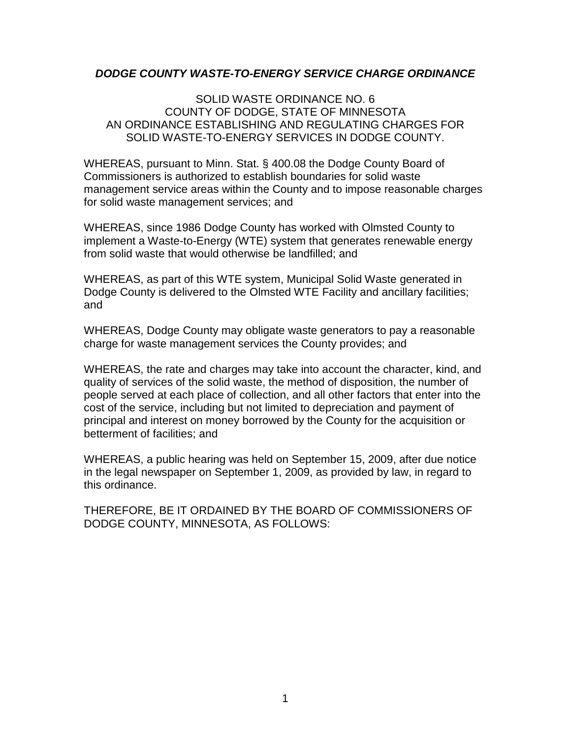### *DODGE COUNTY WASTE-TO-ENERGY SERVICE CHARGE ORDINANCE*

### SOLID WASTE ORDINANCE NO. 6 COUNTY OF DODGE, STATE OF MINNESOTA AN ORDINANCE ESTABLISHING AND REGULATING CHARGES FOR SOLID WASTE-TO-ENERGY SERVICES IN DODGE COUNTY.

WHEREAS, pursuant to Minn. Stat. § 400.08 the Dodge County Board of Commissioners is authorized to establish boundaries for solid waste management service areas within the County and to impose reasonable charges for solid waste management services; and

WHEREAS, since 1986 Dodge County has worked with Olmsted County to implement a Waste-to-Energy (WTE) system that generates renewable energy from solid waste that would otherwise be landfilled; and

WHEREAS, as part of this WTE system, Municipal Solid Waste generated in Dodge County is delivered to the Olmsted WTE Facility and ancillary facilities; and

WHEREAS, Dodge County may obligate waste generators to pay a reasonable charge for waste management services the County provides; and

WHEREAS, the rate and charges may take into account the character, kind, and quality of services of the solid waste, the method of disposition, the number of people served at each place of collection, and all other factors that enter into the cost of the service, including but not limited to depreciation and payment of principal and interest on money borrowed by the County for the acquisition or betterment of facilities; and

WHEREAS, a public hearing was held on September 15, 2009, after due notice in the legal newspaper on September 1, 2009, as provided by law, in regard to this ordinance.

THEREFORE, BE IT ORDAINED BY THE BOARD OF COMMISSIONERS OF DODGE COUNTY, MINNESOTA, AS FOLLOWS: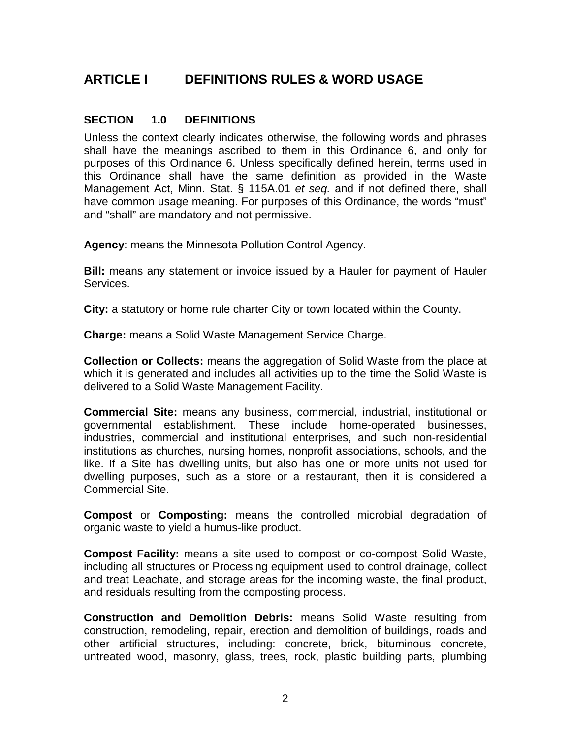## **ARTICLE I DEFINITIONS RULES & WORD USAGE**

### **SECTION 1.0 DEFINITIONS**

Unless the context clearly indicates otherwise, the following words and phrases shall have the meanings ascribed to them in this Ordinance 6, and only for purposes of this Ordinance 6. Unless specifically defined herein, terms used in this Ordinance shall have the same definition as provided in the Waste Management Act, Minn. Stat. § 115A.01 *et seq.* and if not defined there, shall have common usage meaning. For purposes of this Ordinance, the words "must" and "shall" are mandatory and not permissive.

**Agency**: means the Minnesota Pollution Control Agency.

**Bill:** means any statement or invoice issued by a Hauler for payment of Hauler Services.

**City:** a statutory or home rule charter City or town located within the County.

**Charge:** means a Solid Waste Management Service Charge.

**Collection or Collects:** means the aggregation of Solid Waste from the place at which it is generated and includes all activities up to the time the Solid Waste is delivered to a Solid Waste Management Facility.

**Commercial Site:** means any business, commercial, industrial, institutional or governmental establishment. These include home-operated businesses, industries, commercial and institutional enterprises, and such non-residential institutions as churches, nursing homes, nonprofit associations, schools, and the like. If a Site has dwelling units, but also has one or more units not used for dwelling purposes, such as a store or a restaurant, then it is considered a Commercial Site.

**Compost** or **Composting:** means the controlled microbial degradation of organic waste to yield a humus-like product.

**Compost Facility:** means a site used to compost or co-compost Solid Waste, including all structures or Processing equipment used to control drainage, collect and treat Leachate, and storage areas for the incoming waste, the final product, and residuals resulting from the composting process.

**Construction and Demolition Debris:** means Solid Waste resulting from construction, remodeling, repair, erection and demolition of buildings, roads and other artificial structures, including: concrete, brick, bituminous concrete, untreated wood, masonry, glass, trees, rock, plastic building parts, plumbing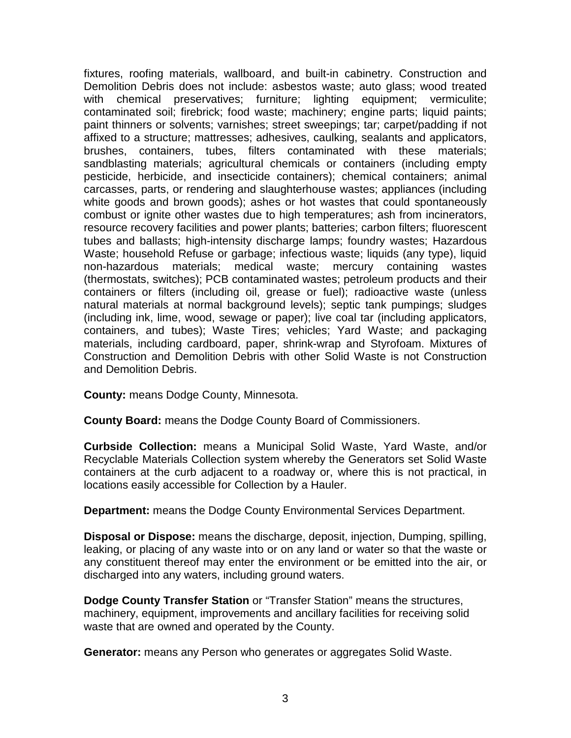fixtures, roofing materials, wallboard, and built-in cabinetry. Construction and Demolition Debris does not include: asbestos waste; auto glass; wood treated with chemical preservatives; furniture; lighting equipment; vermiculite; contaminated soil; firebrick; food waste; machinery; engine parts; liquid paints; paint thinners or solvents; varnishes; street sweepings; tar; carpet/padding if not affixed to a structure; mattresses; adhesives, caulking, sealants and applicators, brushes, containers, tubes, filters contaminated with these materials; sandblasting materials; agricultural chemicals or containers (including empty pesticide, herbicide, and insecticide containers); chemical containers; animal carcasses, parts, or rendering and slaughterhouse wastes; appliances (including white goods and brown goods); ashes or hot wastes that could spontaneously combust or ignite other wastes due to high temperatures; ash from incinerators, resource recovery facilities and power plants; batteries; carbon filters; fluorescent tubes and ballasts; high-intensity discharge lamps; foundry wastes; Hazardous Waste; household Refuse or garbage; infectious waste; liquids (any type), liquid non-hazardous materials; medical waste; mercury containing wastes (thermostats, switches); PCB contaminated wastes; petroleum products and their containers or filters (including oil, grease or fuel); radioactive waste (unless natural materials at normal background levels); septic tank pumpings; sludges (including ink, lime, wood, sewage or paper); live coal tar (including applicators, containers, and tubes); Waste Tires; vehicles; Yard Waste; and packaging materials, including cardboard, paper, shrink-wrap and Styrofoam. Mixtures of Construction and Demolition Debris with other Solid Waste is not Construction and Demolition Debris.

**County:** means Dodge County, Minnesota.

**County Board:** means the Dodge County Board of Commissioners.

**Curbside Collection:** means a Municipal Solid Waste, Yard Waste, and/or Recyclable Materials Collection system whereby the Generators set Solid Waste containers at the curb adjacent to a roadway or, where this is not practical, in locations easily accessible for Collection by a Hauler.

**Department:** means the Dodge County Environmental Services Department.

**Disposal or Dispose:** means the discharge, deposit, injection, Dumping, spilling, leaking, or placing of any waste into or on any land or water so that the waste or any constituent thereof may enter the environment or be emitted into the air, or discharged into any waters, including ground waters.

**Dodge County Transfer Station** or "Transfer Station" means the structures, machinery, equipment, improvements and ancillary facilities for receiving solid waste that are owned and operated by the County.

**Generator:** means any Person who generates or aggregates Solid Waste.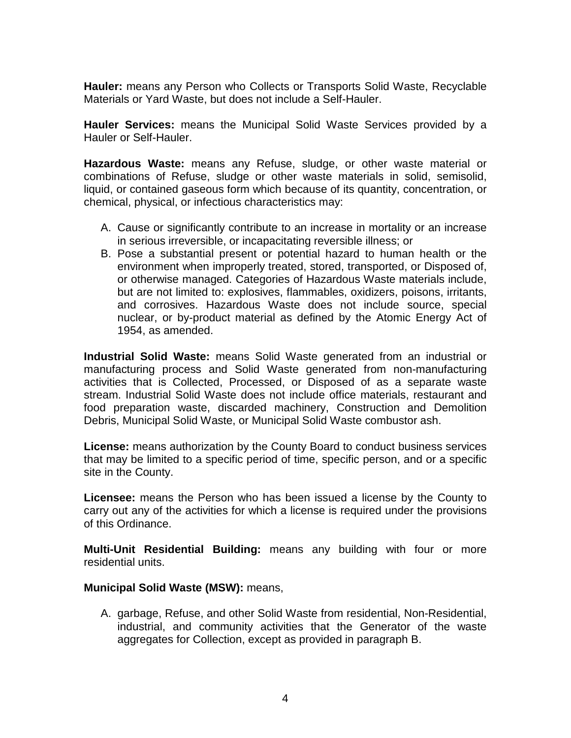**Hauler:** means any Person who Collects or Transports Solid Waste, Recyclable Materials or Yard Waste, but does not include a Self-Hauler.

**Hauler Services:** means the Municipal Solid Waste Services provided by a Hauler or Self-Hauler.

**Hazardous Waste:** means any Refuse, sludge, or other waste material or combinations of Refuse, sludge or other waste materials in solid, semisolid, liquid, or contained gaseous form which because of its quantity, concentration, or chemical, physical, or infectious characteristics may:

- A. Cause or significantly contribute to an increase in mortality or an increase in serious irreversible, or incapacitating reversible illness; or
- B. Pose a substantial present or potential hazard to human health or the environment when improperly treated, stored, transported, or Disposed of, or otherwise managed. Categories of Hazardous Waste materials include, but are not limited to: explosives, flammables, oxidizers, poisons, irritants, and corrosives. Hazardous Waste does not include source, special nuclear, or by-product material as defined by the Atomic Energy Act of 1954, as amended.

**Industrial Solid Waste:** means Solid Waste generated from an industrial or manufacturing process and Solid Waste generated from non-manufacturing activities that is Collected, Processed, or Disposed of as a separate waste stream. Industrial Solid Waste does not include office materials, restaurant and food preparation waste, discarded machinery, Construction and Demolition Debris, Municipal Solid Waste, or Municipal Solid Waste combustor ash.

**License:** means authorization by the County Board to conduct business services that may be limited to a specific period of time, specific person, and or a specific site in the County.

**Licensee:** means the Person who has been issued a license by the County to carry out any of the activities for which a license is required under the provisions of this Ordinance.

**Multi-Unit Residential Building:** means any building with four or more residential units.

### **Municipal Solid Waste (MSW):** means,

A. garbage, Refuse, and other Solid Waste from residential, Non-Residential, industrial, and community activities that the Generator of the waste aggregates for Collection, except as provided in paragraph B.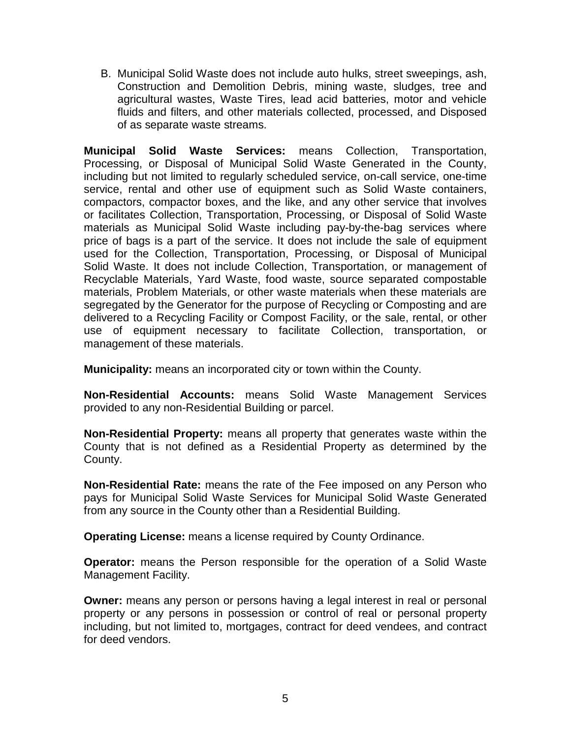B. Municipal Solid Waste does not include auto hulks, street sweepings, ash, Construction and Demolition Debris, mining waste, sludges, tree and agricultural wastes, Waste Tires, lead acid batteries, motor and vehicle fluids and filters, and other materials collected, processed, and Disposed of as separate waste streams.

**Municipal Solid Waste Services:** means Collection, Transportation, Processing, or Disposal of Municipal Solid Waste Generated in the County, including but not limited to regularly scheduled service, on-call service, one-time service, rental and other use of equipment such as Solid Waste containers, compactors, compactor boxes, and the like, and any other service that involves or facilitates Collection, Transportation, Processing, or Disposal of Solid Waste materials as Municipal Solid Waste including pay-by-the-bag services where price of bags is a part of the service. It does not include the sale of equipment used for the Collection, Transportation, Processing, or Disposal of Municipal Solid Waste. It does not include Collection, Transportation, or management of Recyclable Materials, Yard Waste, food waste, source separated compostable materials, Problem Materials, or other waste materials when these materials are segregated by the Generator for the purpose of Recycling or Composting and are delivered to a Recycling Facility or Compost Facility, or the sale, rental, or other use of equipment necessary to facilitate Collection, transportation, or management of these materials.

**Municipality:** means an incorporated city or town within the County.

**Non-Residential Accounts:** means Solid Waste Management Services provided to any non-Residential Building or parcel.

**Non-Residential Property:** means all property that generates waste within the County that is not defined as a Residential Property as determined by the County.

**Non-Residential Rate:** means the rate of the Fee imposed on any Person who pays for Municipal Solid Waste Services for Municipal Solid Waste Generated from any source in the County other than a Residential Building.

**Operating License:** means a license required by County Ordinance.

**Operator:** means the Person responsible for the operation of a Solid Waste Management Facility.

**Owner:** means any person or persons having a legal interest in real or personal property or any persons in possession or control of real or personal property including, but not limited to, mortgages, contract for deed vendees, and contract for deed vendors.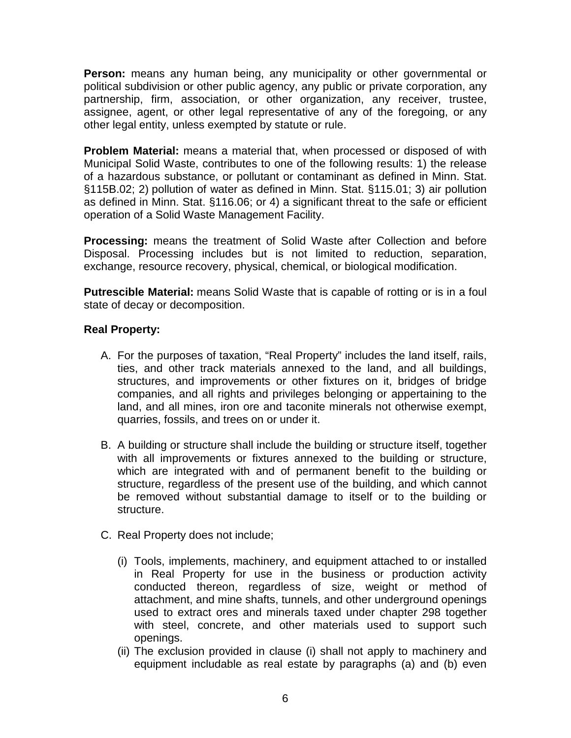**Person:** means any human being, any municipality or other governmental or political subdivision or other public agency, any public or private corporation, any partnership, firm, association, or other organization, any receiver, trustee, assignee, agent, or other legal representative of any of the foregoing, or any other legal entity, unless exempted by statute or rule.

**Problem Material:** means a material that, when processed or disposed of with Municipal Solid Waste, contributes to one of the following results: 1) the release of a hazardous substance, or pollutant or contaminant as defined in Minn. Stat. §115B.02; 2) pollution of water as defined in Minn. Stat. §115.01; 3) air pollution as defined in Minn. Stat. §116.06; or 4) a significant threat to the safe or efficient operation of a Solid Waste Management Facility.

**Processing:** means the treatment of Solid Waste after Collection and before Disposal. Processing includes but is not limited to reduction, separation, exchange, resource recovery, physical, chemical, or biological modification.

**Putrescible Material:** means Solid Waste that is capable of rotting or is in a foul state of decay or decomposition.

## **Real Property:**

- A. For the purposes of taxation, "Real Property" includes the land itself, rails, ties, and other track materials annexed to the land, and all buildings, structures, and improvements or other fixtures on it, bridges of bridge companies, and all rights and privileges belonging or appertaining to the land, and all mines, iron ore and taconite minerals not otherwise exempt, quarries, fossils, and trees on or under it.
- B. A building or structure shall include the building or structure itself, together with all improvements or fixtures annexed to the building or structure, which are integrated with and of permanent benefit to the building or structure, regardless of the present use of the building, and which cannot be removed without substantial damage to itself or to the building or structure.
- C. Real Property does not include;
	- (i) Tools, implements, machinery, and equipment attached to or installed in Real Property for use in the business or production activity conducted thereon, regardless of size, weight or method of attachment, and mine shafts, tunnels, and other underground openings used to extract ores and minerals taxed under chapter 298 together with steel, concrete, and other materials used to support such openings.
	- (ii) The exclusion provided in clause (i) shall not apply to machinery and equipment includable as real estate by paragraphs (a) and (b) even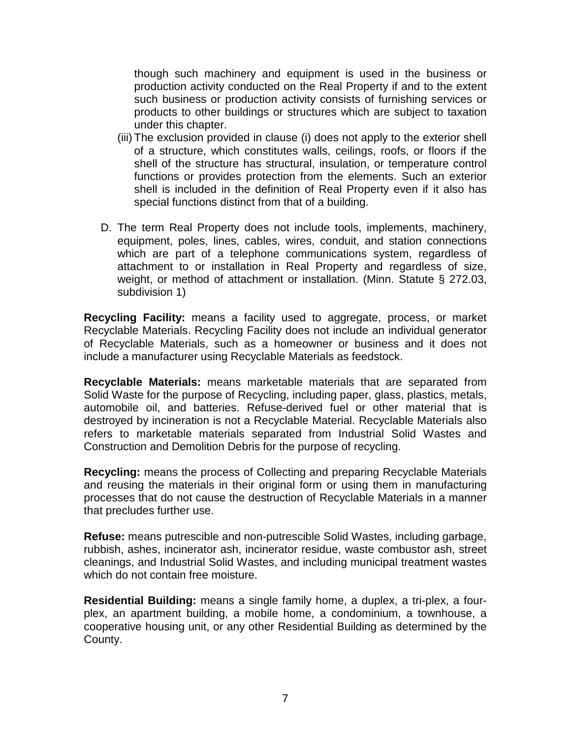though such machinery and equipment is used in the business or production activity conducted on the Real Property if and to the extent such business or production activity consists of furnishing services or products to other buildings or structures which are subject to taxation under this chapter.

- (iii) The exclusion provided in clause (i) does not apply to the exterior shell of a structure, which constitutes walls, ceilings, roofs, or floors if the shell of the structure has structural, insulation, or temperature control functions or provides protection from the elements. Such an exterior shell is included in the definition of Real Property even if it also has special functions distinct from that of a building.
- D. The term Real Property does not include tools, implements, machinery, equipment, poles, lines, cables, wires, conduit, and station connections which are part of a telephone communications system, regardless of attachment to or installation in Real Property and regardless of size, weight, or method of attachment or installation. (Minn. Statute § 272.03, subdivision 1)

**Recycling Facility:** means a facility used to aggregate, process, or market Recyclable Materials. Recycling Facility does not include an individual generator of Recyclable Materials, such as a homeowner or business and it does not include a manufacturer using Recyclable Materials as feedstock.

**Recyclable Materials:** means marketable materials that are separated from Solid Waste for the purpose of Recycling, including paper, glass, plastics, metals, automobile oil, and batteries. Refuse-derived fuel or other material that is destroyed by incineration is not a Recyclable Material. Recyclable Materials also refers to marketable materials separated from Industrial Solid Wastes and Construction and Demolition Debris for the purpose of recycling.

**Recycling:** means the process of Collecting and preparing Recyclable Materials and reusing the materials in their original form or using them in manufacturing processes that do not cause the destruction of Recyclable Materials in a manner that precludes further use.

**Refuse:** means putrescible and non-putrescible Solid Wastes, including garbage, rubbish, ashes, incinerator ash, incinerator residue, waste combustor ash, street cleanings, and Industrial Solid Wastes, and including municipal treatment wastes which do not contain free moisture.

**Residential Building:** means a single family home, a duplex, a tri-plex, a fourplex, an apartment building, a mobile home, a condominium, a townhouse, a cooperative housing unit, or any other Residential Building as determined by the County.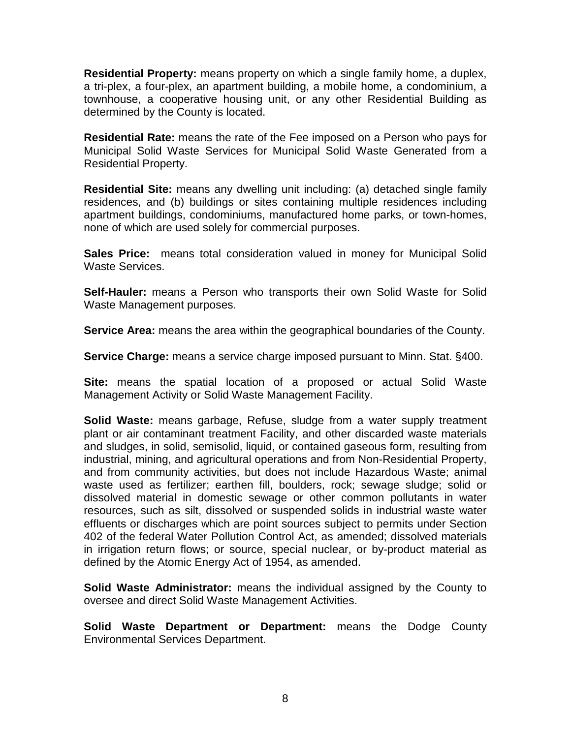**Residential Property:** means property on which a single family home, a duplex, a tri-plex, a four-plex, an apartment building, a mobile home, a condominium, a townhouse, a cooperative housing unit, or any other Residential Building as determined by the County is located.

**Residential Rate:** means the rate of the Fee imposed on a Person who pays for Municipal Solid Waste Services for Municipal Solid Waste Generated from a Residential Property.

**Residential Site:** means any dwelling unit including: (a) detached single family residences, and (b) buildings or sites containing multiple residences including apartment buildings, condominiums, manufactured home parks, or town-homes, none of which are used solely for commercial purposes.

**Sales Price:** means total consideration valued in money for Municipal Solid Waste Services.

**Self-Hauler:** means a Person who transports their own Solid Waste for Solid Waste Management purposes.

**Service Area:** means the area within the geographical boundaries of the County.

**Service Charge:** means a service charge imposed pursuant to Minn. Stat. §400.

**Site:** means the spatial location of a proposed or actual Solid Waste Management Activity or Solid Waste Management Facility.

**Solid Waste:** means garbage, Refuse, sludge from a water supply treatment plant or air contaminant treatment Facility, and other discarded waste materials and sludges, in solid, semisolid, liquid, or contained gaseous form, resulting from industrial, mining, and agricultural operations and from Non-Residential Property, and from community activities, but does not include Hazardous Waste; animal waste used as fertilizer; earthen fill, boulders, rock; sewage sludge; solid or dissolved material in domestic sewage or other common pollutants in water resources, such as silt, dissolved or suspended solids in industrial waste water effluents or discharges which are point sources subject to permits under Section 402 of the federal Water Pollution Control Act, as amended; dissolved materials in irrigation return flows; or source, special nuclear, or by-product material as defined by the Atomic Energy Act of 1954, as amended.

**Solid Waste Administrator:** means the individual assigned by the County to oversee and direct Solid Waste Management Activities.

**Solid Waste Department or Department:** means the Dodge County Environmental Services Department.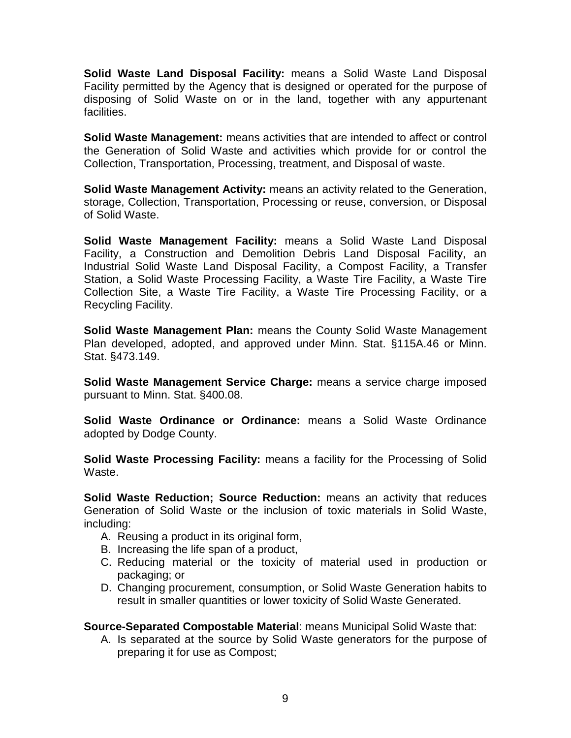**Solid Waste Land Disposal Facility:** means a Solid Waste Land Disposal Facility permitted by the Agency that is designed or operated for the purpose of disposing of Solid Waste on or in the land, together with any appurtenant facilities.

**Solid Waste Management:** means activities that are intended to affect or control the Generation of Solid Waste and activities which provide for or control the Collection, Transportation, Processing, treatment, and Disposal of waste.

**Solid Waste Management Activity:** means an activity related to the Generation, storage, Collection, Transportation, Processing or reuse, conversion, or Disposal of Solid Waste.

**Solid Waste Management Facility:** means a Solid Waste Land Disposal Facility, a Construction and Demolition Debris Land Disposal Facility, an Industrial Solid Waste Land Disposal Facility, a Compost Facility, a Transfer Station, a Solid Waste Processing Facility, a Waste Tire Facility, a Waste Tire Collection Site, a Waste Tire Facility, a Waste Tire Processing Facility, or a Recycling Facility.

**Solid Waste Management Plan:** means the County Solid Waste Management Plan developed, adopted, and approved under Minn. Stat. §115A.46 or Minn. Stat. §473.149.

**Solid Waste Management Service Charge:** means a service charge imposed pursuant to Minn. Stat. §400.08.

**Solid Waste Ordinance or Ordinance:** means a Solid Waste Ordinance adopted by Dodge County.

**Solid Waste Processing Facility:** means a facility for the Processing of Solid Waste.

**Solid Waste Reduction; Source Reduction:** means an activity that reduces Generation of Solid Waste or the inclusion of toxic materials in Solid Waste, including:

- A. Reusing a product in its original form,
- B. Increasing the life span of a product,
- C. Reducing material or the toxicity of material used in production or packaging; or
- D. Changing procurement, consumption, or Solid Waste Generation habits to result in smaller quantities or lower toxicity of Solid Waste Generated.

**Source-Separated Compostable Material**: means Municipal Solid Waste that:

A. Is separated at the source by Solid Waste generators for the purpose of preparing it for use as Compost;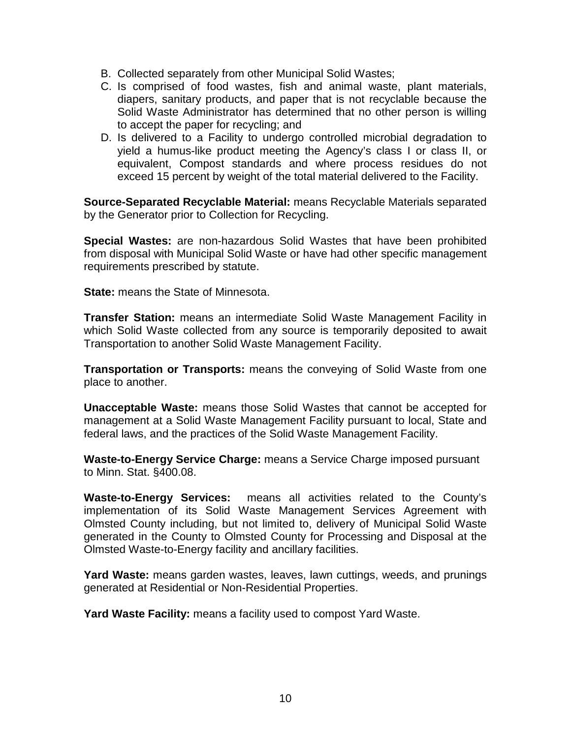- B. Collected separately from other Municipal Solid Wastes;
- C. Is comprised of food wastes, fish and animal waste, plant materials, diapers, sanitary products, and paper that is not recyclable because the Solid Waste Administrator has determined that no other person is willing to accept the paper for recycling; and
- D. Is delivered to a Facility to undergo controlled microbial degradation to yield a humus-like product meeting the Agency's class I or class II, or equivalent, Compost standards and where process residues do not exceed 15 percent by weight of the total material delivered to the Facility.

**Source-Separated Recyclable Material:** means Recyclable Materials separated by the Generator prior to Collection for Recycling.

**Special Wastes:** are non-hazardous Solid Wastes that have been prohibited from disposal with Municipal Solid Waste or have had other specific management requirements prescribed by statute.

**State:** means the State of Minnesota.

**Transfer Station:** means an intermediate Solid Waste Management Facility in which Solid Waste collected from any source is temporarily deposited to await Transportation to another Solid Waste Management Facility.

**Transportation or Transports:** means the conveying of Solid Waste from one place to another.

**Unacceptable Waste:** means those Solid Wastes that cannot be accepted for management at a Solid Waste Management Facility pursuant to local, State and federal laws, and the practices of the Solid Waste Management Facility.

**Waste-to-Energy Service Charge:** means a Service Charge imposed pursuant to Minn. Stat. §400.08.

**Waste-to-Energy Services:** means all activities related to the County's implementation of its Solid Waste Management Services Agreement with Olmsted County including, but not limited to, delivery of Municipal Solid Waste generated in the County to Olmsted County for Processing and Disposal at the Olmsted Waste-to-Energy facility and ancillary facilities.

**Yard Waste:** means garden wastes, leaves, lawn cuttings, weeds, and prunings generated at Residential or Non-Residential Properties.

**Yard Waste Facility:** means a facility used to compost Yard Waste.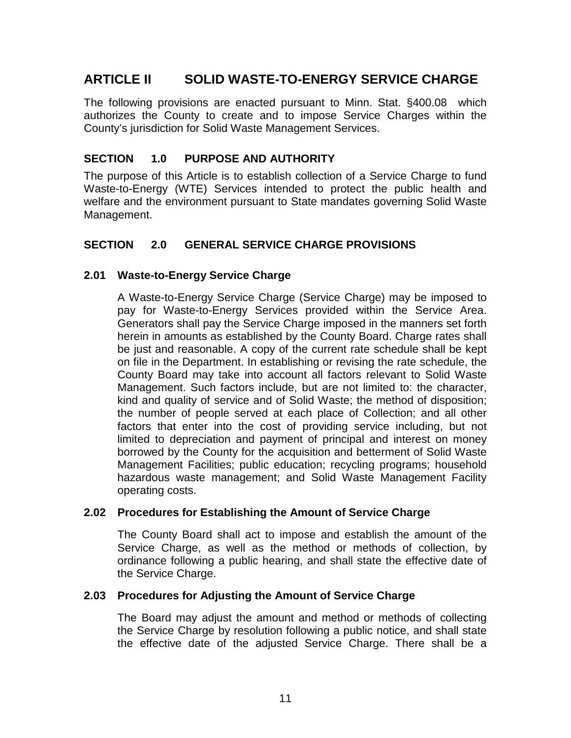## **ARTICLE II SOLID WASTE-TO-ENERGY SERVICE CHARGE**

The following provisions are enacted pursuant to Minn. Stat. §400.08 which authorizes the County to create and to impose Service Charges within the County's jurisdiction for Solid Waste Management Services.

### **SECTION 1.0 PURPOSE AND AUTHORITY**

The purpose of this Article is to establish collection of a Service Charge to fund Waste-to-Energy (WTE) Services intended to protect the public health and welfare and the environment pursuant to State mandates governing Solid Waste Management.

### **SECTION 2.0 GENERAL SERVICE CHARGE PROVISIONS**

### **2.01 Waste-to-Energy Service Charge**

A Waste-to-Energy Service Charge (Service Charge) may be imposed to pay for Waste-to-Energy Services provided within the Service Area. Generators shall pay the Service Charge imposed in the manners set forth herein in amounts as established by the County Board. Charge rates shall be just and reasonable. A copy of the current rate schedule shall be kept on file in the Department. In establishing or revising the rate schedule, the County Board may take into account all factors relevant to Solid Waste Management. Such factors include, but are not limited to: the character, kind and quality of service and of Solid Waste; the method of disposition; the number of people served at each place of Collection; and all other factors that enter into the cost of providing service including, but not limited to depreciation and payment of principal and interest on money borrowed by the County for the acquisition and betterment of Solid Waste Management Facilities; public education; recycling programs; household hazardous waste management; and Solid Waste Management Facility operating costs.

### **2.02 Procedures for Establishing the Amount of Service Charge**

The County Board shall act to impose and establish the amount of the Service Charge, as well as the method or methods of collection, by ordinance following a public hearing, and shall state the effective date of the Service Charge.

### **2.03 Procedures for Adjusting the Amount of Service Charge**

The Board may adjust the amount and method or methods of collecting the Service Charge by resolution following a public notice, and shall state the effective date of the adjusted Service Charge. There shall be a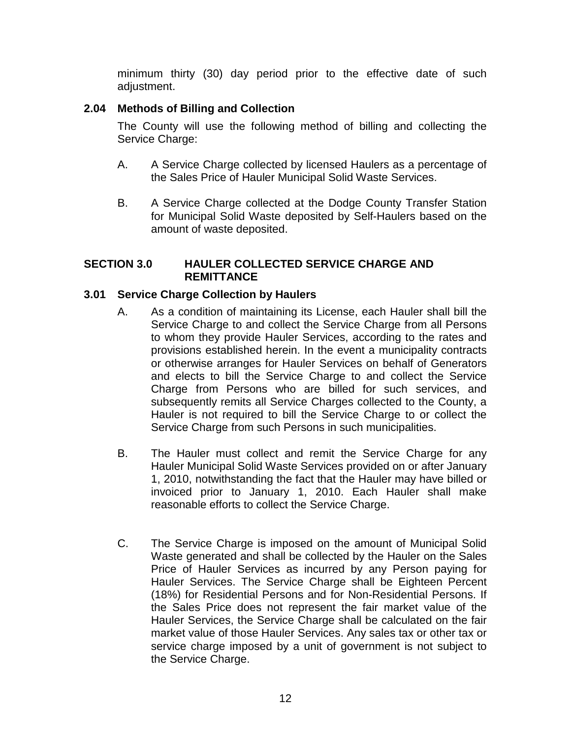minimum thirty (30) day period prior to the effective date of such adjustment.

### **2.04 Methods of Billing and Collection**

The County will use the following method of billing and collecting the Service Charge:

- A. A Service Charge collected by licensed Haulers as a percentage of the Sales Price of Hauler Municipal Solid Waste Services.
- B. A Service Charge collected at the Dodge County Transfer Station for Municipal Solid Waste deposited by Self-Haulers based on the amount of waste deposited.

### **SECTION 3.0 HAULER COLLECTED SERVICE CHARGE AND REMITTANCE**

### **3.01 Service Charge Collection by Haulers**

- A. As a condition of maintaining its License, each Hauler shall bill the Service Charge to and collect the Service Charge from all Persons to whom they provide Hauler Services, according to the rates and provisions established herein. In the event a municipality contracts or otherwise arranges for Hauler Services on behalf of Generators and elects to bill the Service Charge to and collect the Service Charge from Persons who are billed for such services, and subsequently remits all Service Charges collected to the County, a Hauler is not required to bill the Service Charge to or collect the Service Charge from such Persons in such municipalities.
- B. The Hauler must collect and remit the Service Charge for any Hauler Municipal Solid Waste Services provided on or after January 1, 2010, notwithstanding the fact that the Hauler may have billed or invoiced prior to January 1, 2010. Each Hauler shall make reasonable efforts to collect the Service Charge.
- C. The Service Charge is imposed on the amount of Municipal Solid Waste generated and shall be collected by the Hauler on the Sales Price of Hauler Services as incurred by any Person paying for Hauler Services. The Service Charge shall be Eighteen Percent (18%) for Residential Persons and for Non-Residential Persons. If the Sales Price does not represent the fair market value of the Hauler Services, the Service Charge shall be calculated on the fair market value of those Hauler Services. Any sales tax or other tax or service charge imposed by a unit of government is not subject to the Service Charge.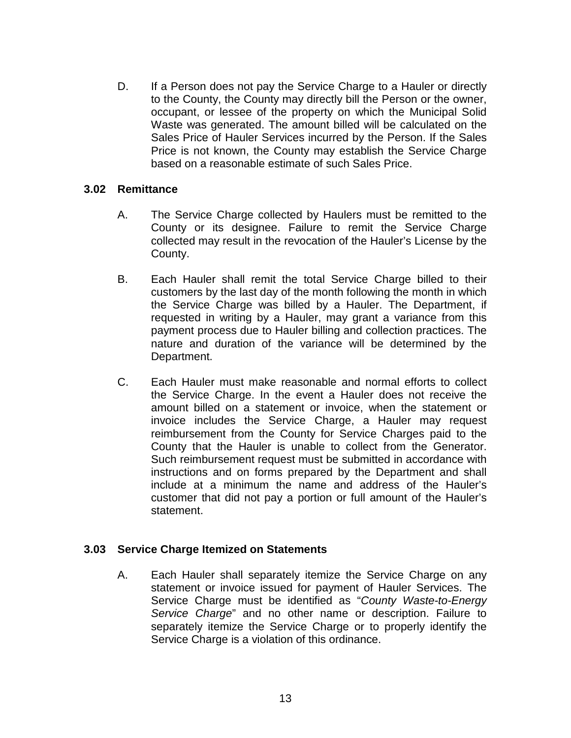D. If a Person does not pay the Service Charge to a Hauler or directly to the County, the County may directly bill the Person or the owner, occupant, or lessee of the property on which the Municipal Solid Waste was generated. The amount billed will be calculated on the Sales Price of Hauler Services incurred by the Person. If the Sales Price is not known, the County may establish the Service Charge based on a reasonable estimate of such Sales Price.

### **3.02 Remittance**

- A. The Service Charge collected by Haulers must be remitted to the County or its designee. Failure to remit the Service Charge collected may result in the revocation of the Hauler's License by the County.
- B. Each Hauler shall remit the total Service Charge billed to their customers by the last day of the month following the month in which the Service Charge was billed by a Hauler. The Department, if requested in writing by a Hauler, may grant a variance from this payment process due to Hauler billing and collection practices. The nature and duration of the variance will be determined by the Department.
- C. Each Hauler must make reasonable and normal efforts to collect the Service Charge. In the event a Hauler does not receive the amount billed on a statement or invoice, when the statement or invoice includes the Service Charge, a Hauler may request reimbursement from the County for Service Charges paid to the County that the Hauler is unable to collect from the Generator. Such reimbursement request must be submitted in accordance with instructions and on forms prepared by the Department and shall include at a minimum the name and address of the Hauler's customer that did not pay a portion or full amount of the Hauler's statement.

### **3.03 Service Charge Itemized on Statements**

A. Each Hauler shall separately itemize the Service Charge on any statement or invoice issued for payment of Hauler Services. The Service Charge must be identified as "*County Waste-to-Energy Service Charge*" and no other name or description. Failure to separately itemize the Service Charge or to properly identify the Service Charge is a violation of this ordinance.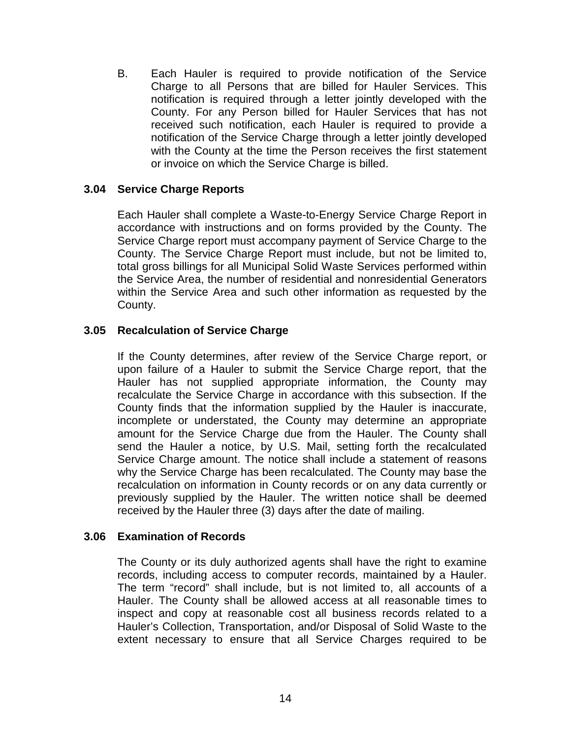B. Each Hauler is required to provide notification of the Service Charge to all Persons that are billed for Hauler Services. This notification is required through a letter jointly developed with the County. For any Person billed for Hauler Services that has not received such notification, each Hauler is required to provide a notification of the Service Charge through a letter jointly developed with the County at the time the Person receives the first statement or invoice on which the Service Charge is billed.

### **3.04 Service Charge Reports**

Each Hauler shall complete a Waste-to-Energy Service Charge Report in accordance with instructions and on forms provided by the County. The Service Charge report must accompany payment of Service Charge to the County. The Service Charge Report must include, but not be limited to, total gross billings for all Municipal Solid Waste Services performed within the Service Area, the number of residential and nonresidential Generators within the Service Area and such other information as requested by the County.

### **3.05 Recalculation of Service Charge**

If the County determines, after review of the Service Charge report, or upon failure of a Hauler to submit the Service Charge report, that the Hauler has not supplied appropriate information, the County may recalculate the Service Charge in accordance with this subsection. If the County finds that the information supplied by the Hauler is inaccurate, incomplete or understated, the County may determine an appropriate amount for the Service Charge due from the Hauler. The County shall send the Hauler a notice, by U.S. Mail, setting forth the recalculated Service Charge amount. The notice shall include a statement of reasons why the Service Charge has been recalculated. The County may base the recalculation on information in County records or on any data currently or previously supplied by the Hauler. The written notice shall be deemed received by the Hauler three (3) days after the date of mailing.

#### **3.06 Examination of Records**

The County or its duly authorized agents shall have the right to examine records, including access to computer records, maintained by a Hauler. The term "record" shall include, but is not limited to, all accounts of a Hauler. The County shall be allowed access at all reasonable times to inspect and copy at reasonable cost all business records related to a Hauler's Collection, Transportation, and/or Disposal of Solid Waste to the extent necessary to ensure that all Service Charges required to be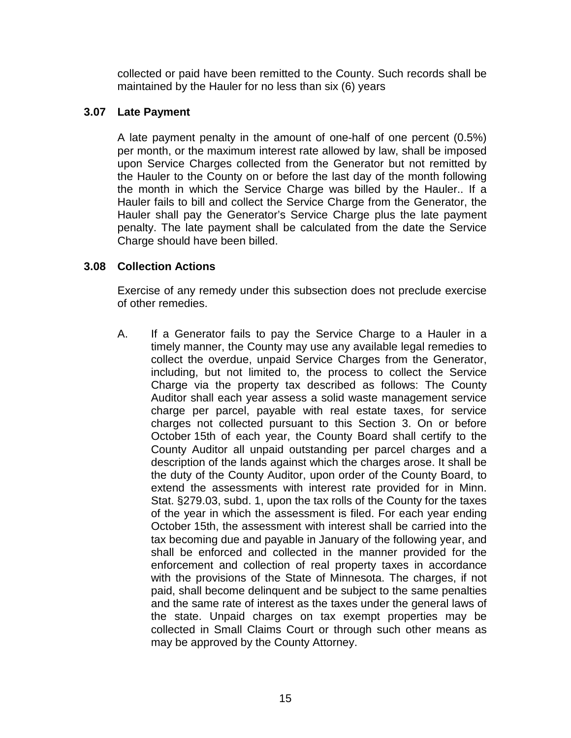collected or paid have been remitted to the County. Such records shall be maintained by the Hauler for no less than six (6) years

### **3.07 Late Payment**

A late payment penalty in the amount of one-half of one percent (0.5%) per month, or the maximum interest rate allowed by law, shall be imposed upon Service Charges collected from the Generator but not remitted by the Hauler to the County on or before the last day of the month following the month in which the Service Charge was billed by the Hauler.. If a Hauler fails to bill and collect the Service Charge from the Generator, the Hauler shall pay the Generator's Service Charge plus the late payment penalty. The late payment shall be calculated from the date the Service Charge should have been billed.

### **3.08 Collection Actions**

Exercise of any remedy under this subsection does not preclude exercise of other remedies.

A. If a Generator fails to pay the Service Charge to a Hauler in a timely manner, the County may use any available legal remedies to collect the overdue, unpaid Service Charges from the Generator, including, but not limited to, the process to collect the Service Charge via the property tax described as follows: The County Auditor shall each year assess a solid waste management service charge per parcel, payable with real estate taxes, for service charges not collected pursuant to this Section 3. On or before October 15th of each year, the County Board shall certify to the County Auditor all unpaid outstanding per parcel charges and a description of the lands against which the charges arose. It shall be the duty of the County Auditor, upon order of the County Board, to extend the assessments with interest rate provided for in Minn. Stat. §279.03, subd. 1, upon the tax rolls of the County for the taxes of the year in which the assessment is filed. For each year ending October 15th, the assessment with interest shall be carried into the tax becoming due and payable in January of the following year, and shall be enforced and collected in the manner provided for the enforcement and collection of real property taxes in accordance with the provisions of the State of Minnesota. The charges, if not paid, shall become delinquent and be subject to the same penalties and the same rate of interest as the taxes under the general laws of the state. Unpaid charges on tax exempt properties may be collected in Small Claims Court or through such other means as may be approved by the County Attorney.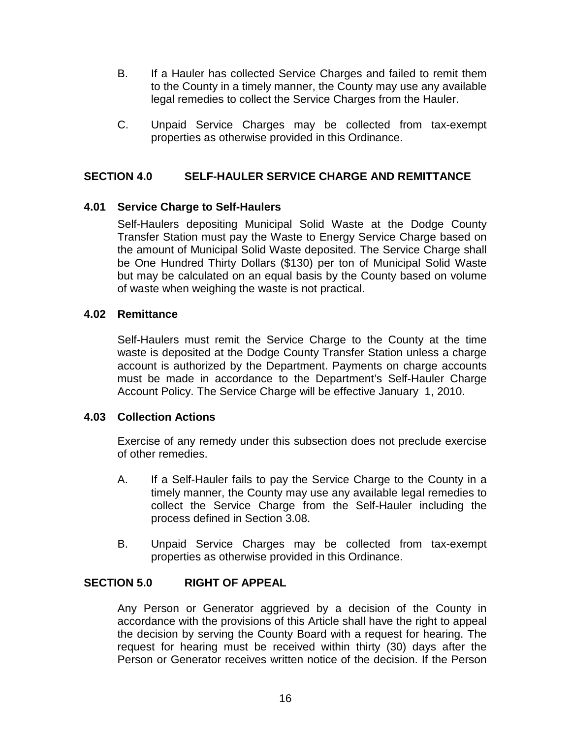- B. If a Hauler has collected Service Charges and failed to remit them to the County in a timely manner, the County may use any available legal remedies to collect the Service Charges from the Hauler.
- C. Unpaid Service Charges may be collected from tax-exempt properties as otherwise provided in this Ordinance.

### **SECTION 4.0 SELF-HAULER SERVICE CHARGE AND REMITTANCE**

### **4.01 Service Charge to Self-Haulers**

Self-Haulers depositing Municipal Solid Waste at the Dodge County Transfer Station must pay the Waste to Energy Service Charge based on the amount of Municipal Solid Waste deposited. The Service Charge shall be One Hundred Thirty Dollars (\$130) per ton of Municipal Solid Waste but may be calculated on an equal basis by the County based on volume of waste when weighing the waste is not practical.

### **4.02 Remittance**

Self-Haulers must remit the Service Charge to the County at the time waste is deposited at the Dodge County Transfer Station unless a charge account is authorized by the Department. Payments on charge accounts must be made in accordance to the Department's Self-Hauler Charge Account Policy. The Service Charge will be effective January 1, 2010.

### **4.03 Collection Actions**

Exercise of any remedy under this subsection does not preclude exercise of other remedies.

- A. If a Self-Hauler fails to pay the Service Charge to the County in a timely manner, the County may use any available legal remedies to collect the Service Charge from the Self-Hauler including the process defined in Section 3.08.
- B. Unpaid Service Charges may be collected from tax-exempt properties as otherwise provided in this Ordinance.

### **SECTION 5.0 RIGHT OF APPEAL**

Any Person or Generator aggrieved by a decision of the County in accordance with the provisions of this Article shall have the right to appeal the decision by serving the County Board with a request for hearing. The request for hearing must be received within thirty (30) days after the Person or Generator receives written notice of the decision. If the Person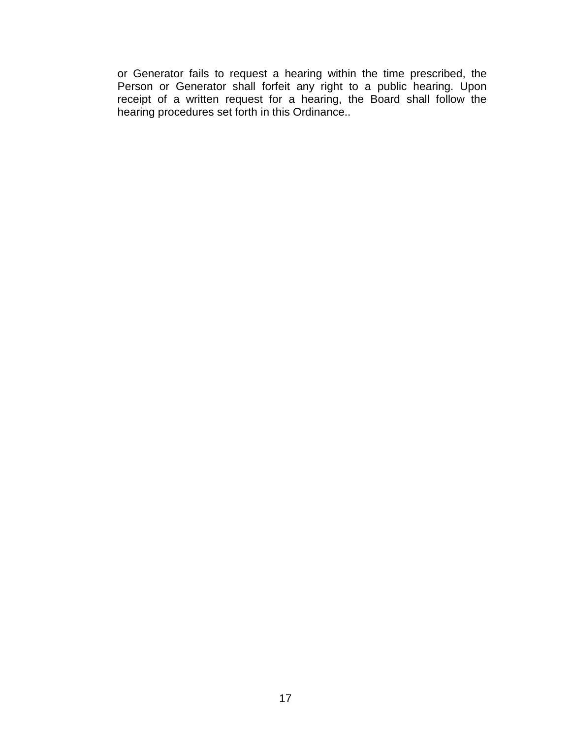or Generator fails to request a hearing within the time prescribed, the Person or Generator shall forfeit any right to a public hearing. Upon receipt of a written request for a hearing, the Board shall follow the hearing procedures set forth in this Ordinance..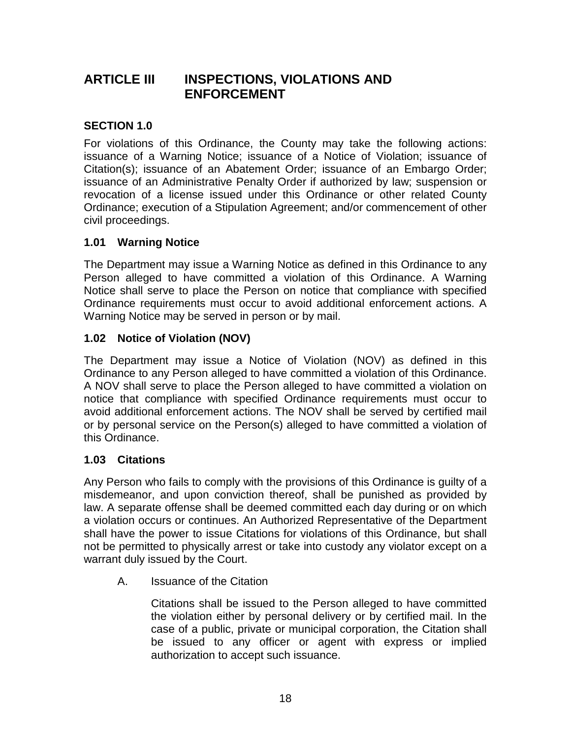## **ARTICLE III INSPECTIONS, VIOLATIONS AND ENFORCEMENT**

## **SECTION 1.0**

For violations of this Ordinance, the County may take the following actions: issuance of a Warning Notice; issuance of a Notice of Violation; issuance of Citation(s); issuance of an Abatement Order; issuance of an Embargo Order; issuance of an Administrative Penalty Order if authorized by law; suspension or revocation of a license issued under this Ordinance or other related County Ordinance; execution of a Stipulation Agreement; and/or commencement of other civil proceedings.

### **1.01 Warning Notice**

The Department may issue a Warning Notice as defined in this Ordinance to any Person alleged to have committed a violation of this Ordinance. A Warning Notice shall serve to place the Person on notice that compliance with specified Ordinance requirements must occur to avoid additional enforcement actions. A Warning Notice may be served in person or by mail.

## **1.02 Notice of Violation (NOV)**

The Department may issue a Notice of Violation (NOV) as defined in this Ordinance to any Person alleged to have committed a violation of this Ordinance. A NOV shall serve to place the Person alleged to have committed a violation on notice that compliance with specified Ordinance requirements must occur to avoid additional enforcement actions. The NOV shall be served by certified mail or by personal service on the Person(s) alleged to have committed a violation of this Ordinance.

### **1.03 Citations**

Any Person who fails to comply with the provisions of this Ordinance is guilty of a misdemeanor, and upon conviction thereof, shall be punished as provided by law. A separate offense shall be deemed committed each day during or on which a violation occurs or continues. An Authorized Representative of the Department shall have the power to issue Citations for violations of this Ordinance, but shall not be permitted to physically arrest or take into custody any violator except on a warrant duly issued by the Court.

A. Issuance of the Citation

Citations shall be issued to the Person alleged to have committed the violation either by personal delivery or by certified mail. In the case of a public, private or municipal corporation, the Citation shall be issued to any officer or agent with express or implied authorization to accept such issuance.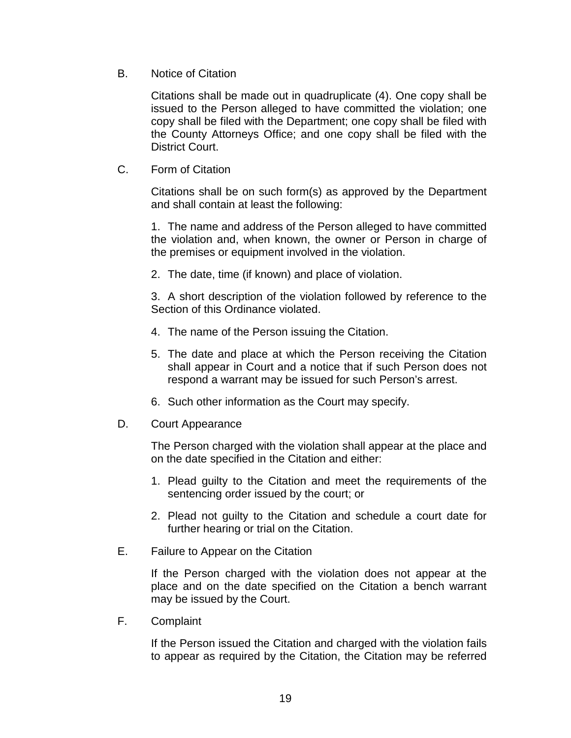B. Notice of Citation

Citations shall be made out in quadruplicate (4). One copy shall be issued to the Person alleged to have committed the violation; one copy shall be filed with the Department; one copy shall be filed with the County Attorneys Office; and one copy shall be filed with the District Court.

C. Form of Citation

Citations shall be on such form(s) as approved by the Department and shall contain at least the following:

1. The name and address of the Person alleged to have committed the violation and, when known, the owner or Person in charge of the premises or equipment involved in the violation.

2. The date, time (if known) and place of violation.

3. A short description of the violation followed by reference to the Section of this Ordinance violated.

- 4. The name of the Person issuing the Citation.
- 5. The date and place at which the Person receiving the Citation shall appear in Court and a notice that if such Person does not respond a warrant may be issued for such Person's arrest.
- 6. Such other information as the Court may specify.
- D. Court Appearance

The Person charged with the violation shall appear at the place and on the date specified in the Citation and either:

- 1. Plead guilty to the Citation and meet the requirements of the sentencing order issued by the court; or
- 2. Plead not guilty to the Citation and schedule a court date for further hearing or trial on the Citation.
- E. Failure to Appear on the Citation

If the Person charged with the violation does not appear at the place and on the date specified on the Citation a bench warrant may be issued by the Court.

F. Complaint

If the Person issued the Citation and charged with the violation fails to appear as required by the Citation, the Citation may be referred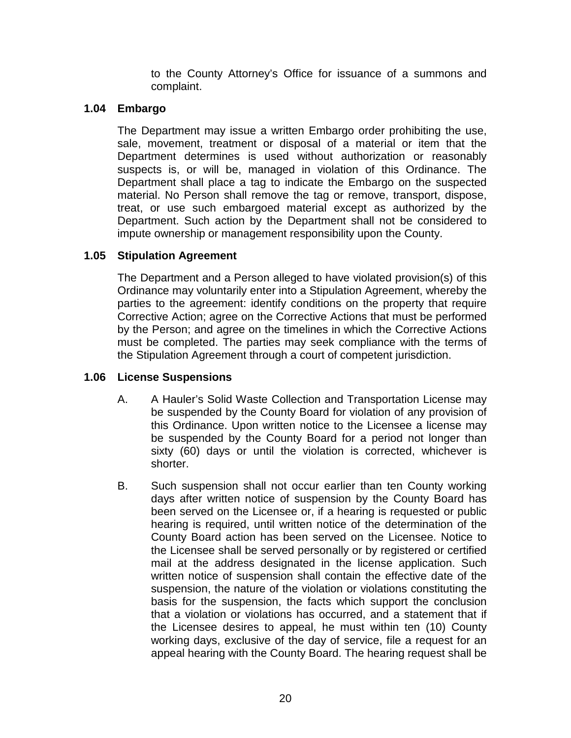to the County Attorney's Office for issuance of a summons and complaint.

### **1.04 Embargo**

The Department may issue a written Embargo order prohibiting the use, sale, movement, treatment or disposal of a material or item that the Department determines is used without authorization or reasonably suspects is, or will be, managed in violation of this Ordinance. The Department shall place a tag to indicate the Embargo on the suspected material. No Person shall remove the tag or remove, transport, dispose, treat, or use such embargoed material except as authorized by the Department. Such action by the Department shall not be considered to impute ownership or management responsibility upon the County.

### **1.05 Stipulation Agreement**

The Department and a Person alleged to have violated provision(s) of this Ordinance may voluntarily enter into a Stipulation Agreement, whereby the parties to the agreement: identify conditions on the property that require Corrective Action; agree on the Corrective Actions that must be performed by the Person; and agree on the timelines in which the Corrective Actions must be completed. The parties may seek compliance with the terms of the Stipulation Agreement through a court of competent jurisdiction.

### **1.06 License Suspensions**

- A. A Hauler's Solid Waste Collection and Transportation License may be suspended by the County Board for violation of any provision of this Ordinance. Upon written notice to the Licensee a license may be suspended by the County Board for a period not longer than sixty (60) days or until the violation is corrected, whichever is shorter.
- B. Such suspension shall not occur earlier than ten County working days after written notice of suspension by the County Board has been served on the Licensee or, if a hearing is requested or public hearing is required, until written notice of the determination of the County Board action has been served on the Licensee. Notice to the Licensee shall be served personally or by registered or certified mail at the address designated in the license application. Such written notice of suspension shall contain the effective date of the suspension, the nature of the violation or violations constituting the basis for the suspension, the facts which support the conclusion that a violation or violations has occurred, and a statement that if the Licensee desires to appeal, he must within ten (10) County working days, exclusive of the day of service, file a request for an appeal hearing with the County Board. The hearing request shall be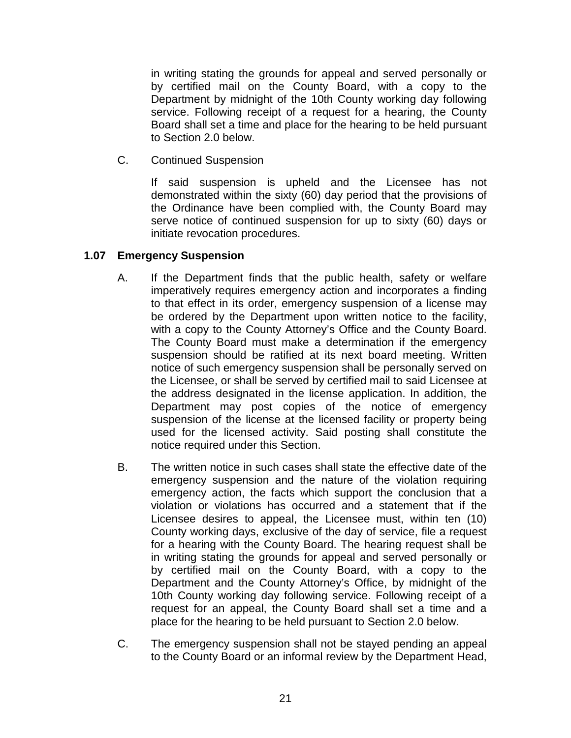in writing stating the grounds for appeal and served personally or by certified mail on the County Board, with a copy to the Department by midnight of the 10th County working day following service. Following receipt of a request for a hearing, the County Board shall set a time and place for the hearing to be held pursuant to Section 2.0 below.

C. Continued Suspension

If said suspension is upheld and the Licensee has not demonstrated within the sixty (60) day period that the provisions of the Ordinance have been complied with, the County Board may serve notice of continued suspension for up to sixty (60) days or initiate revocation procedures.

### **1.07 Emergency Suspension**

- A. If the Department finds that the public health, safety or welfare imperatively requires emergency action and incorporates a finding to that effect in its order, emergency suspension of a license may be ordered by the Department upon written notice to the facility, with a copy to the County Attorney's Office and the County Board. The County Board must make a determination if the emergency suspension should be ratified at its next board meeting. Written notice of such emergency suspension shall be personally served on the Licensee, or shall be served by certified mail to said Licensee at the address designated in the license application. In addition, the Department may post copies of the notice of emergency suspension of the license at the licensed facility or property being used for the licensed activity. Said posting shall constitute the notice required under this Section.
- B. The written notice in such cases shall state the effective date of the emergency suspension and the nature of the violation requiring emergency action, the facts which support the conclusion that a violation or violations has occurred and a statement that if the Licensee desires to appeal, the Licensee must, within ten (10) County working days, exclusive of the day of service, file a request for a hearing with the County Board. The hearing request shall be in writing stating the grounds for appeal and served personally or by certified mail on the County Board, with a copy to the Department and the County Attorney's Office, by midnight of the 10th County working day following service. Following receipt of a request for an appeal, the County Board shall set a time and a place for the hearing to be held pursuant to Section 2.0 below.
- C. The emergency suspension shall not be stayed pending an appeal to the County Board or an informal review by the Department Head,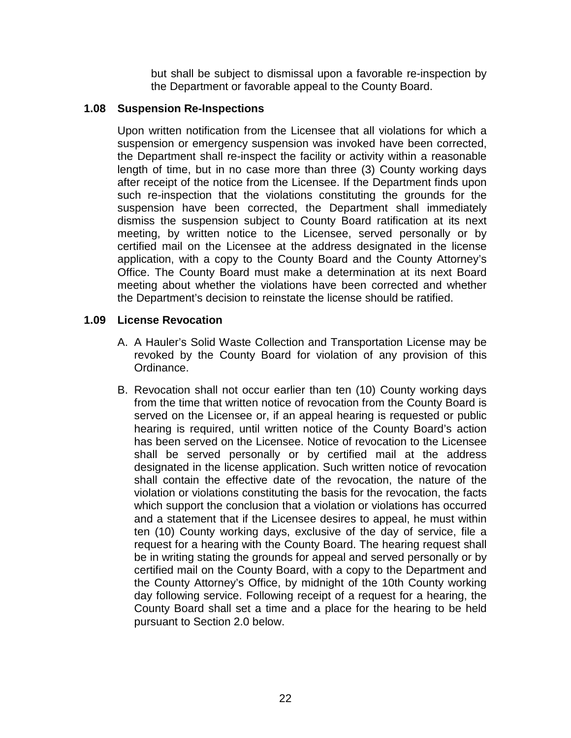but shall be subject to dismissal upon a favorable re-inspection by the Department or favorable appeal to the County Board.

### **1.08 Suspension Re-Inspections**

Upon written notification from the Licensee that all violations for which a suspension or emergency suspension was invoked have been corrected, the Department shall re-inspect the facility or activity within a reasonable length of time, but in no case more than three (3) County working days after receipt of the notice from the Licensee. If the Department finds upon such re-inspection that the violations constituting the grounds for the suspension have been corrected, the Department shall immediately dismiss the suspension subject to County Board ratification at its next meeting, by written notice to the Licensee, served personally or by certified mail on the Licensee at the address designated in the license application, with a copy to the County Board and the County Attorney's Office. The County Board must make a determination at its next Board meeting about whether the violations have been corrected and whether the Department's decision to reinstate the license should be ratified.

### **1.09 License Revocation**

- A. A Hauler's Solid Waste Collection and Transportation License may be revoked by the County Board for violation of any provision of this Ordinance.
- B. Revocation shall not occur earlier than ten (10) County working days from the time that written notice of revocation from the County Board is served on the Licensee or, if an appeal hearing is requested or public hearing is required, until written notice of the County Board's action has been served on the Licensee. Notice of revocation to the Licensee shall be served personally or by certified mail at the address designated in the license application. Such written notice of revocation shall contain the effective date of the revocation, the nature of the violation or violations constituting the basis for the revocation, the facts which support the conclusion that a violation or violations has occurred and a statement that if the Licensee desires to appeal, he must within ten (10) County working days, exclusive of the day of service, file a request for a hearing with the County Board. The hearing request shall be in writing stating the grounds for appeal and served personally or by certified mail on the County Board, with a copy to the Department and the County Attorney's Office, by midnight of the 10th County working day following service. Following receipt of a request for a hearing, the County Board shall set a time and a place for the hearing to be held pursuant to Section 2.0 below.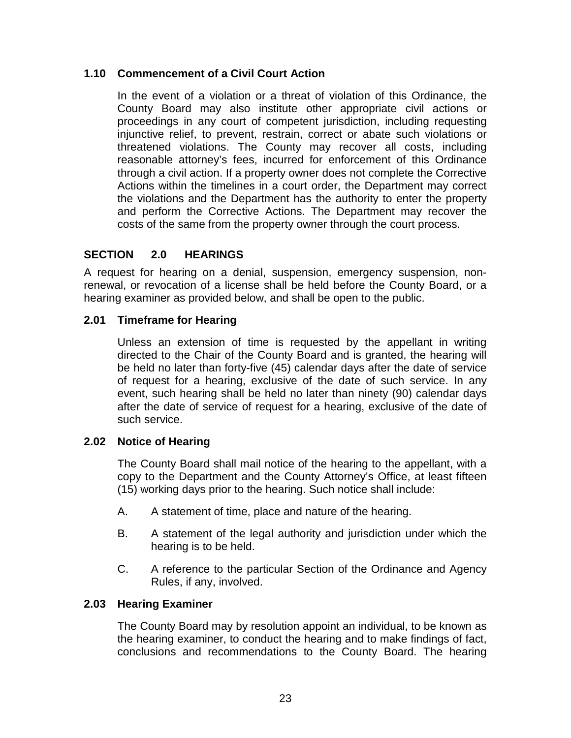### **1.10 Commencement of a Civil Court Action**

In the event of a violation or a threat of violation of this Ordinance, the County Board may also institute other appropriate civil actions or proceedings in any court of competent jurisdiction, including requesting injunctive relief, to prevent, restrain, correct or abate such violations or threatened violations. The County may recover all costs, including reasonable attorney's fees, incurred for enforcement of this Ordinance through a civil action. If a property owner does not complete the Corrective Actions within the timelines in a court order, the Department may correct the violations and the Department has the authority to enter the property and perform the Corrective Actions. The Department may recover the costs of the same from the property owner through the court process.

### **SECTION 2.0 HEARINGS**

A request for hearing on a denial, suspension, emergency suspension, nonrenewal, or revocation of a license shall be held before the County Board, or a hearing examiner as provided below, and shall be open to the public.

### **2.01 Timeframe for Hearing**

Unless an extension of time is requested by the appellant in writing directed to the Chair of the County Board and is granted, the hearing will be held no later than forty-five (45) calendar days after the date of service of request for a hearing, exclusive of the date of such service. In any event, such hearing shall be held no later than ninety (90) calendar days after the date of service of request for a hearing, exclusive of the date of such service.

### **2.02 Notice of Hearing**

The County Board shall mail notice of the hearing to the appellant, with a copy to the Department and the County Attorney's Office, at least fifteen (15) working days prior to the hearing. Such notice shall include:

- A. A statement of time, place and nature of the hearing.
- B. A statement of the legal authority and jurisdiction under which the hearing is to be held.
- C. A reference to the particular Section of the Ordinance and Agency Rules, if any, involved.

### **2.03 Hearing Examiner**

The County Board may by resolution appoint an individual, to be known as the hearing examiner, to conduct the hearing and to make findings of fact, conclusions and recommendations to the County Board. The hearing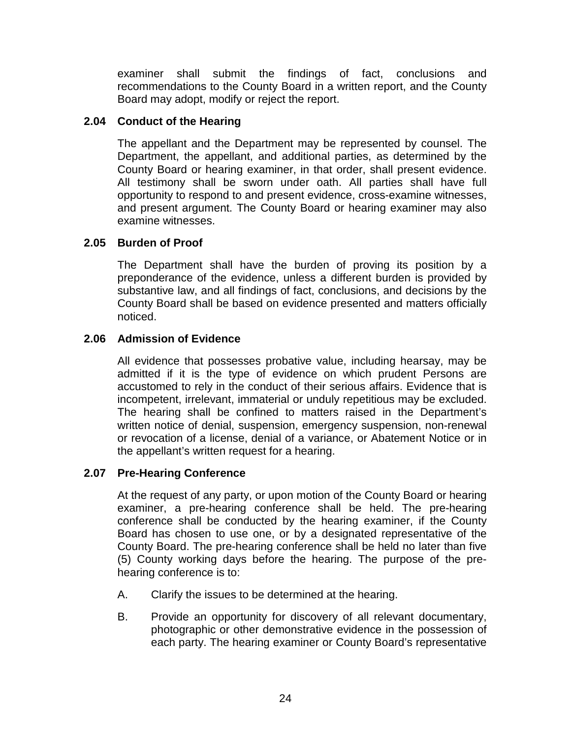examiner shall submit the findings of fact, conclusions and recommendations to the County Board in a written report, and the County Board may adopt, modify or reject the report.

### **2.04 Conduct of the Hearing**

The appellant and the Department may be represented by counsel. The Department, the appellant, and additional parties, as determined by the County Board or hearing examiner, in that order, shall present evidence. All testimony shall be sworn under oath. All parties shall have full opportunity to respond to and present evidence, cross-examine witnesses, and present argument. The County Board or hearing examiner may also examine witnesses.

### **2.05 Burden of Proof**

The Department shall have the burden of proving its position by a preponderance of the evidence, unless a different burden is provided by substantive law, and all findings of fact, conclusions, and decisions by the County Board shall be based on evidence presented and matters officially noticed.

### **2.06 Admission of Evidence**

All evidence that possesses probative value, including hearsay, may be admitted if it is the type of evidence on which prudent Persons are accustomed to rely in the conduct of their serious affairs. Evidence that is incompetent, irrelevant, immaterial or unduly repetitious may be excluded. The hearing shall be confined to matters raised in the Department's written notice of denial, suspension, emergency suspension, non-renewal or revocation of a license, denial of a variance, or Abatement Notice or in the appellant's written request for a hearing.

### **2.07 Pre-Hearing Conference**

At the request of any party, or upon motion of the County Board or hearing examiner, a pre-hearing conference shall be held. The pre-hearing conference shall be conducted by the hearing examiner, if the County Board has chosen to use one, or by a designated representative of the County Board. The pre-hearing conference shall be held no later than five (5) County working days before the hearing. The purpose of the prehearing conference is to:

- A. Clarify the issues to be determined at the hearing.
- B. Provide an opportunity for discovery of all relevant documentary, photographic or other demonstrative evidence in the possession of each party. The hearing examiner or County Board's representative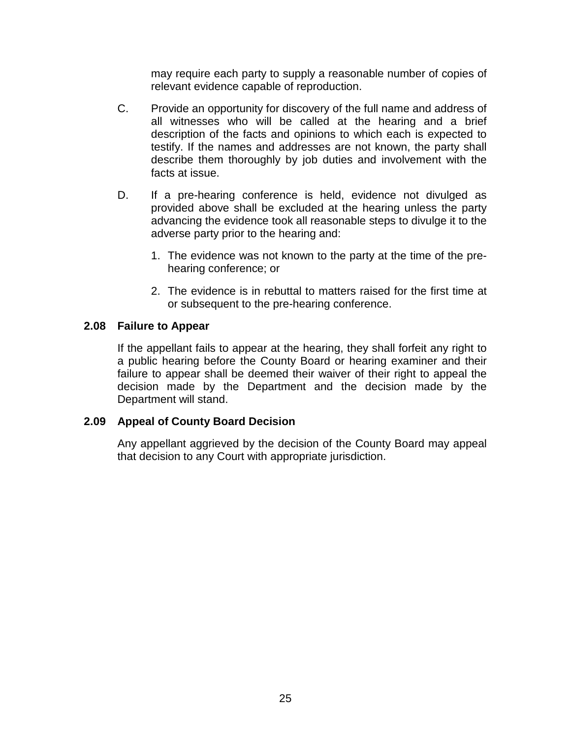may require each party to supply a reasonable number of copies of relevant evidence capable of reproduction.

- C. Provide an opportunity for discovery of the full name and address of all witnesses who will be called at the hearing and a brief description of the facts and opinions to which each is expected to testify. If the names and addresses are not known, the party shall describe them thoroughly by job duties and involvement with the facts at issue.
- D. If a pre-hearing conference is held, evidence not divulged as provided above shall be excluded at the hearing unless the party advancing the evidence took all reasonable steps to divulge it to the adverse party prior to the hearing and:
	- 1. The evidence was not known to the party at the time of the prehearing conference; or
	- 2. The evidence is in rebuttal to matters raised for the first time at or subsequent to the pre-hearing conference.

### **2.08 Failure to Appear**

If the appellant fails to appear at the hearing, they shall forfeit any right to a public hearing before the County Board or hearing examiner and their failure to appear shall be deemed their waiver of their right to appeal the decision made by the Department and the decision made by the Department will stand.

### **2.09 Appeal of County Board Decision**

Any appellant aggrieved by the decision of the County Board may appeal that decision to any Court with appropriate jurisdiction.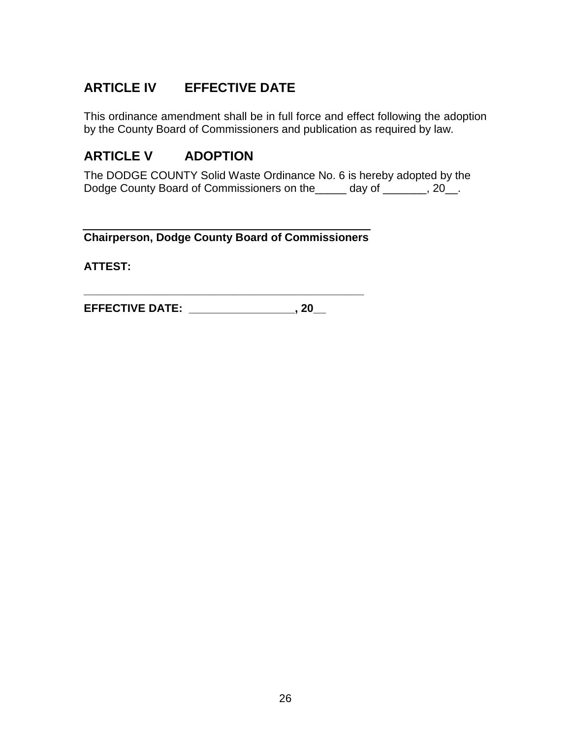# **ARTICLE IV EFFECTIVE DATE**

This ordinance amendment shall be in full force and effect following the adoption by the County Board of Commissioners and publication as required by law.

## **ARTICLE V ADOPTION**

The DODGE COUNTY Solid Waste Ordinance No. 6 is hereby adopted by the Dodge County Board of Commissioners on the \_\_\_\_ day of \_\_\_\_\_, 20\_.

**Chairperson, Dodge County Board of Commissioners**

**\_\_\_\_\_\_\_\_\_\_\_\_\_\_\_\_\_\_\_\_\_\_\_\_\_\_\_\_\_\_\_\_\_\_\_\_\_\_\_\_\_\_\_\_\_**

**ATTEST:** 

**EFFECTIVE DATE: \_\_\_\_\_\_\_\_\_\_\_\_\_\_\_\_\_, 20\_\_**